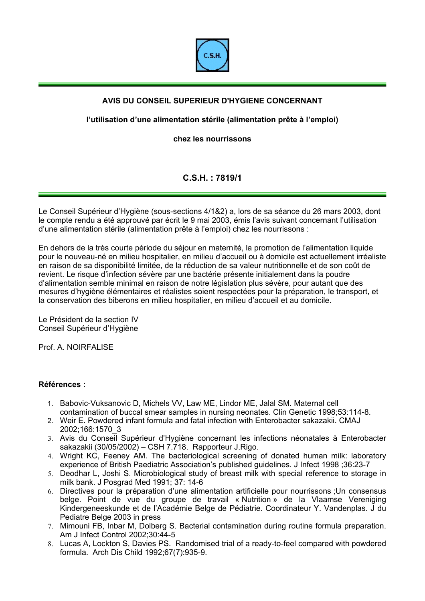

## **AVIS DU CONSEIL SUPERIEUR D'HYGIENE CONCERNANT**

## **l'utilisation d'une alimentation stérile (alimentation prête à l'emploi)**

## **chez les nourrissons**

**C.S.H. : 7819/1** 

Le Conseil Supérieur d'Hygiène (sous-sections 4/1&2) a, lors de sa séance du 26 mars 2003, dont le compte rendu a été approuvé par écrit le 9 mai 2003, émis l'avis suivant concernant l'utilisation d'une alimentation stérile (alimentation prête à l'emploi) chez les nourrissons :

En dehors de la très courte période du séjour en maternité, la promotion de l'alimentation liquide pour le nouveau-né en milieu hospitalier, en milieu d'accueil ou à domicile est actuellement irréaliste en raison de sa disponibilité limitée, de la réduction de sa valeur nutritionnelle et de son coût de revient. Le risque d'infection sévère par une bactérie présente initialement dans la poudre d'alimentation semble minimal en raison de notre législation plus sévère, pour autant que des mesures d'hygiène élémentaires et réalistes soient respectées pour la préparation, le transport, et la conservation des biberons en milieu hospitalier, en milieu d'accueil et au domicile.

Le Président de la section IV Conseil Supérieur d'Hygiène

Prof. A. NOIRFALISE

## **Références :**

- 1. Babovic-Vuksanovic D, Michels VV, Law ME, Lindor ME, Jalal SM. Maternal cell contamination of buccal smear samples in nursing neonates. Clin Genetic 1998;53:114-8.
- 2. Weir E. Powdered infant formula and fatal infection with Enterobacter sakazakii. CMAJ 2002;166:1570\_3
- 3. Avis du Conseil Supérieur d'Hygiène concernant les infections néonatales à Enterobacter sakazakii (30/05/2002) – CSH 7.718. Rapporteur J.Rigo.
- 4. Wright KC, Feeney AM. The bacteriological screening of donated human milk: laboratory experience of British Paediatric Association's published guidelines. J Infect 1998 ;36:23-7
- 5. Deodhar L, Joshi S. Microbiological study of breast milk with special reference to storage in milk bank. J Posgrad Med 1991; 37: 14-6
- 6. Directives pour la préparation d'une alimentation artificielle pour nourrissons ;Un consensus belge. Point de vue du groupe de travail « Nutrition » de la Vlaamse Vereniging Kindergeneeskunde et de l'Académie Belge de Pédiatrie. Coordinateur Y. Vandenplas. J du Pediatre Belge 2003 in press
- 7. Mimouni FB, Inbar M, Dolberg S. Bacterial contamination during routine formula preparation. Am J Infect Control 2002;30:44-5
- 8. Lucas A, Lockton S, Davies PS. Randomised trial of a ready-to-feel compared with powdered formula. Arch Dis Child 1992;67(7):935-9.